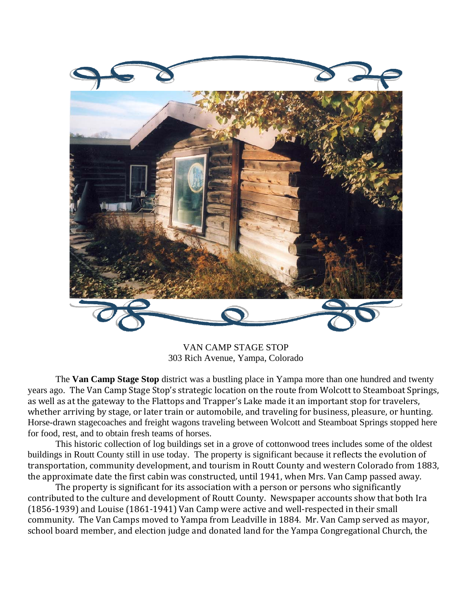

VAN CAMP STAGE STOP 303 Rich Avenue, Yampa, Colorado

 The **Van Camp Stage Stop** district was a bustling place in Yampa more than one hundred and twenty years ago. The Van Camp Stage Stop's strategic location on the route from Wolcott to Steamboat Springs, as well as at the gateway to the Flattops and Trapper's Lake made it an important stop for travelers, whether arriving by stage, or later train or automobile, and traveling for business, pleasure, or hunting. Horse-drawn stagecoaches and freight wagons traveling between Wolcott and Steamboat Springs stopped here for food, rest, and to obtain fresh teams of horses.

 This historic collection of log buildings set in a grove of cottonwood trees includes some of the oldest buildings in Routt County still in use today. The property is significant because it reflects the evolution of transportation, community development, and tourism in Routt County and western Colorado from 1883, the approximate date the first cabin was constructed, until 1941, when Mrs. Van Camp passed away.

 The property is significant for its association with a person or persons who significantly contributed to the culture and development of Routt County. Newspaper accounts show that both Ira (1856‐1939) and Louise (1861‐1941) Van Camp were active and well‐respected in their small community. The Van Camps moved to Yampa from Leadville in 1884. Mr. Van Camp served as mayor, school board member, and election judge and donated land for the Yampa Congregational Church, the